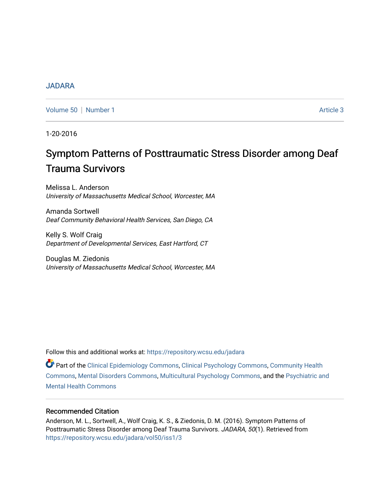# [JADARA](https://repository.wcsu.edu/jadara)

[Volume 50](https://repository.wcsu.edu/jadara/vol50) | [Number 1](https://repository.wcsu.edu/jadara/vol50/iss1) Article 3

1-20-2016

# Symptom Patterns of Posttraumatic Stress Disorder among Deaf Trauma Survivors

Melissa L. Anderson University of Massachusetts Medical School, Worcester, MA

Amanda Sortwell Deaf Community Behavioral Health Services, San Diego, CA

Kelly S. Wolf Craig Department of Developmental Services, East Hartford, CT

Douglas M. Ziedonis University of Massachusetts Medical School, Worcester, MA

Follow this and additional works at: [https://repository.wcsu.edu/jadara](https://repository.wcsu.edu/jadara?utm_source=repository.wcsu.edu%2Fjadara%2Fvol50%2Fiss1%2F3&utm_medium=PDF&utm_campaign=PDFCoverPages)

Part of the [Clinical Epidemiology Commons,](http://network.bepress.com/hgg/discipline/815?utm_source=repository.wcsu.edu%2Fjadara%2Fvol50%2Fiss1%2F3&utm_medium=PDF&utm_campaign=PDFCoverPages) [Clinical Psychology Commons,](http://network.bepress.com/hgg/discipline/406?utm_source=repository.wcsu.edu%2Fjadara%2Fvol50%2Fiss1%2F3&utm_medium=PDF&utm_campaign=PDFCoverPages) [Community Health](http://network.bepress.com/hgg/discipline/714?utm_source=repository.wcsu.edu%2Fjadara%2Fvol50%2Fiss1%2F3&utm_medium=PDF&utm_campaign=PDFCoverPages)  [Commons](http://network.bepress.com/hgg/discipline/714?utm_source=repository.wcsu.edu%2Fjadara%2Fvol50%2Fiss1%2F3&utm_medium=PDF&utm_campaign=PDFCoverPages), [Mental Disorders Commons,](http://network.bepress.com/hgg/discipline/968?utm_source=repository.wcsu.edu%2Fjadara%2Fvol50%2Fiss1%2F3&utm_medium=PDF&utm_campaign=PDFCoverPages) [Multicultural Psychology Commons,](http://network.bepress.com/hgg/discipline/1237?utm_source=repository.wcsu.edu%2Fjadara%2Fvol50%2Fiss1%2F3&utm_medium=PDF&utm_campaign=PDFCoverPages) and the [Psychiatric and](http://network.bepress.com/hgg/discipline/711?utm_source=repository.wcsu.edu%2Fjadara%2Fvol50%2Fiss1%2F3&utm_medium=PDF&utm_campaign=PDFCoverPages)  [Mental Health Commons](http://network.bepress.com/hgg/discipline/711?utm_source=repository.wcsu.edu%2Fjadara%2Fvol50%2Fiss1%2F3&utm_medium=PDF&utm_campaign=PDFCoverPages) 

## Recommended Citation

Anderson, M. L., Sortwell, A., Wolf Craig, K. S., & Ziedonis, D. M. (2016). Symptom Patterns of Posttraumatic Stress Disorder among Deaf Trauma Survivors. JADARA, 50(1). Retrieved from [https://repository.wcsu.edu/jadara/vol50/iss1/3](https://repository.wcsu.edu/jadara/vol50/iss1/3?utm_source=repository.wcsu.edu%2Fjadara%2Fvol50%2Fiss1%2F3&utm_medium=PDF&utm_campaign=PDFCoverPages)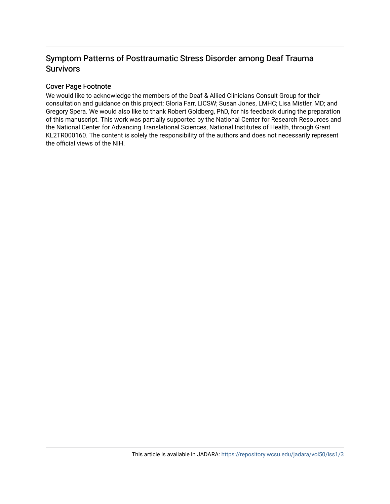# Symptom Patterns of Posttraumatic Stress Disorder among Deaf Trauma **Survivors**

# Cover Page Footnote

We would like to acknowledge the members of the Deaf & Allied Clinicians Consult Group for their consultation and guidance on this project: Gloria Farr, LICSW; Susan Jones, LMHC; Lisa Mistler, MD; and Gregory Spera. We would also like to thank Robert Goldberg, PhD, for his feedback during the preparation of this manuscript. This work was partially supported by the National Center for Research Resources and the National Center for Advancing Translational Sciences, National Institutes of Health, through Grant KL2TR000160. The content is solely the responsibility of the authors and does not necessarily represent the official views of the NIH.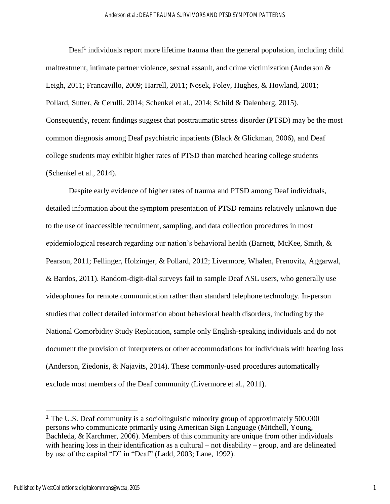#### Anderson et al.: DEAF TRAUMA SURVIVORS AND PTSD SYMPTOM PATTERNS

Deaf<sup>1</sup> individuals report more lifetime trauma than the general population, including child maltreatment, intimate partner violence, sexual assault, and crime victimization (Anderson & Leigh, 2011; Francavillo, 2009; Harrell, 2011; Nosek, Foley, Hughes, & Howland, 2001; Pollard, Sutter, & Cerulli, 2014; Schenkel et al., 2014; Schild & Dalenberg, 2015). Consequently, recent findings suggest that posttraumatic stress disorder (PTSD) may be the most common diagnosis among Deaf psychiatric inpatients (Black & Glickman, 2006), and Deaf college students may exhibit higher rates of PTSD than matched hearing college students (Schenkel et al., 2014).

Despite early evidence of higher rates of trauma and PTSD among Deaf individuals, detailed information about the symptom presentation of PTSD remains relatively unknown due to the use of inaccessible recruitment, sampling, and data collection procedures in most epidemiological research regarding our nation's behavioral health (Barnett, McKee, Smith, & Pearson, 2011; Fellinger, Holzinger, & Pollard, 2012; Livermore, Whalen, Prenovitz, Aggarwal, & Bardos, 2011). Random-digit-dial surveys fail to sample Deaf ASL users, who generally use videophones for remote communication rather than standard telephone technology. In-person studies that collect detailed information about behavioral health disorders, including by the National Comorbidity Study Replication, sample only English-speaking individuals and do not document the provision of interpreters or other accommodations for individuals with hearing loss (Anderson, Ziedonis, & Najavits, 2014). These commonly-used procedures automatically exclude most members of the Deaf community (Livermore et al., 2011).

 $\overline{a}$ 

<sup>&</sup>lt;sup>1</sup> The U.S. Deaf community is a sociolinguistic minority group of approximately 500,000 persons who communicate primarily using American Sign Language (Mitchell, Young, Bachleda, & Karchmer, 2006). Members of this community are unique from other individuals with hearing loss in their identification as a cultural – not disability – group, and are delineated by use of the capital "D" in "Deaf" (Ladd, 2003; Lane, 1992).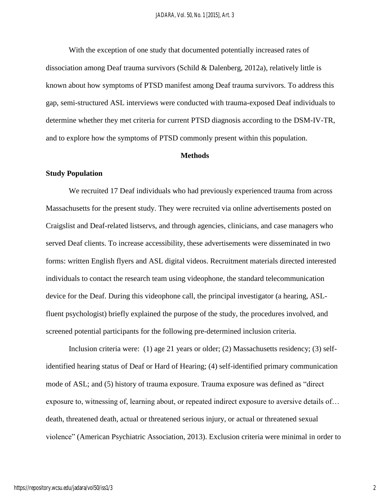With the exception of one study that documented potentially increased rates of dissociation among Deaf trauma survivors (Schild & Dalenberg, 2012a), relatively little is known about how symptoms of PTSD manifest among Deaf trauma survivors. To address this gap, semi-structured ASL interviews were conducted with trauma-exposed Deaf individuals to determine whether they met criteria for current PTSD diagnosis according to the DSM-IV-TR, and to explore how the symptoms of PTSD commonly present within this population.

#### **Methods**

### **Study Population**

We recruited 17 Deaf individuals who had previously experienced trauma from across Massachusetts for the present study. They were recruited via online advertisements posted on Craigslist and Deaf-related listservs, and through agencies, clinicians, and case managers who served Deaf clients. To increase accessibility, these advertisements were disseminated in two forms: written English flyers and ASL digital videos. Recruitment materials directed interested individuals to contact the research team using videophone, the standard telecommunication device for the Deaf. During this videophone call, the principal investigator (a hearing, ASLfluent psychologist) briefly explained the purpose of the study, the procedures involved, and screened potential participants for the following pre-determined inclusion criteria.

Inclusion criteria were: (1) age 21 years or older; (2) Massachusetts residency; (3) selfidentified hearing status of Deaf or Hard of Hearing; (4) self-identified primary communication mode of ASL; and (5) history of trauma exposure. Trauma exposure was defined as "direct exposure to, witnessing of, learning about, or repeated indirect exposure to aversive details of… death, threatened death, actual or threatened serious injury, or actual or threatened sexual violence" (American Psychiatric Association, 2013). Exclusion criteria were minimal in order to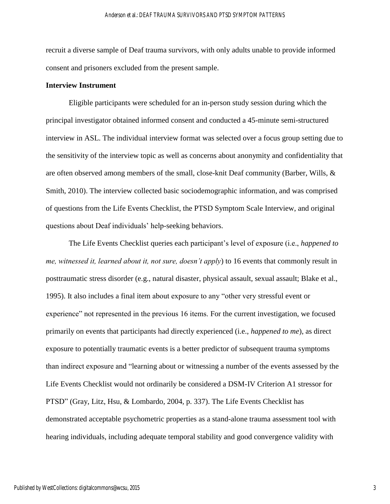recruit a diverse sample of Deaf trauma survivors, with only adults unable to provide informed consent and prisoners excluded from the present sample.

#### **Interview Instrument**

Eligible participants were scheduled for an in-person study session during which the principal investigator obtained informed consent and conducted a 45-minute semi-structured interview in ASL. The individual interview format was selected over a focus group setting due to the sensitivity of the interview topic as well as concerns about anonymity and confidentiality that are often observed among members of the small, close-knit Deaf community (Barber, Wills, & Smith, 2010). The interview collected basic sociodemographic information, and was comprised of questions from the Life Events Checklist, the PTSD Symptom Scale Interview, and original questions about Deaf individuals' help-seeking behaviors.

The Life Events Checklist queries each participant's level of exposure (i.e., *happened to me, witnessed it, learned about it, not sure, doesn't apply*) to 16 events that commonly result in posttraumatic stress disorder (e.g., natural disaster, physical assault, sexual assault; Blake et al., 1995). It also includes a final item about exposure to any "other very stressful event or experience" not represented in the previous 16 items. For the current investigation, we focused primarily on events that participants had directly experienced (i.e., *happened to me*), as direct exposure to potentially traumatic events is a better predictor of subsequent trauma symptoms than indirect exposure and "learning about or witnessing a number of the events assessed by the Life Events Checklist would not ordinarily be considered a DSM-IV Criterion A1 stressor for PTSD" (Gray, Litz, Hsu, & Lombardo, 2004, p. 337). The Life Events Checklist has demonstrated acceptable psychometric properties as a stand-alone trauma assessment tool with hearing individuals, including adequate temporal stability and good convergence validity with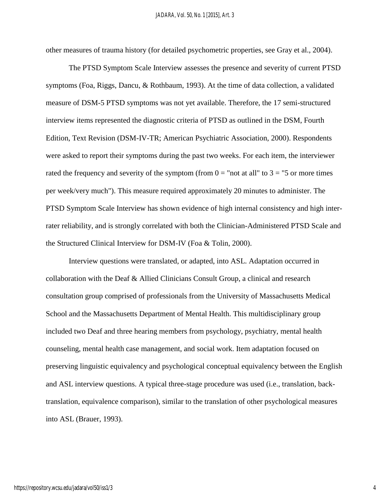other measures of trauma history (for detailed psychometric properties, see Gray et al., 2004).

The PTSD Symptom Scale Interview assesses the presence and severity of current PTSD symptoms (Foa, Riggs, Dancu, & Rothbaum, 1993). At the time of data collection, a validated measure of DSM-5 PTSD symptoms was not yet available. Therefore, the 17 semi-structured interview items represented the diagnostic criteria of PTSD as outlined in the DSM, Fourth Edition, Text Revision (DSM-IV-TR; American Psychiatric Association, 2000). Respondents were asked to report their symptoms during the past two weeks. For each item, the interviewer rated the frequency and severity of the symptom (from  $0 =$  "not at all" to  $3 =$  "5 or more times per week/very much"). This measure required approximately 20 minutes to administer. The PTSD Symptom Scale Interview has shown evidence of high internal consistency and high interrater reliability, and is strongly correlated with both the Clinician-Administered PTSD Scale and the Structured Clinical Interview for DSM-IV (Foa & Tolin, 2000).

Interview questions were translated, or adapted, into ASL. Adaptation occurred in collaboration with the Deaf & Allied Clinicians Consult Group, a clinical and research consultation group comprised of professionals from the University of Massachusetts Medical School and the Massachusetts Department of Mental Health. This multidisciplinary group included two Deaf and three hearing members from psychology, psychiatry, mental health counseling, mental health case management, and social work. Item adaptation focused on preserving linguistic equivalency and psychological conceptual equivalency between the English and ASL interview questions. A typical three-stage procedure was used (i.e., translation, backtranslation, equivalence comparison), similar to the translation of other psychological measures into ASL (Brauer, 1993).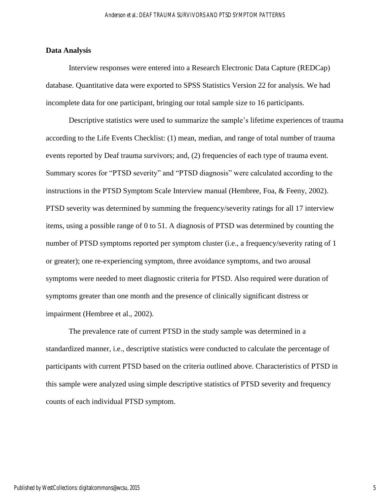## **Data Analysis**

Interview responses were entered into a Research Electronic Data Capture (REDCap) database. Quantitative data were exported to SPSS Statistics Version 22 for analysis. We had incomplete data for one participant, bringing our total sample size to 16 participants.

Descriptive statistics were used to summarize the sample's lifetime experiences of trauma according to the Life Events Checklist: (1) mean, median, and range of total number of trauma events reported by Deaf trauma survivors; and, (2) frequencies of each type of trauma event. Summary scores for "PTSD severity" and "PTSD diagnosis" were calculated according to the instructions in the PTSD Symptom Scale Interview manual (Hembree, Foa, & Feeny, 2002). PTSD severity was determined by summing the frequency/severity ratings for all 17 interview items, using a possible range of 0 to 51. A diagnosis of PTSD was determined by counting the number of PTSD symptoms reported per symptom cluster (i.e., a frequency/severity rating of 1 or greater); one re-experiencing symptom, three avoidance symptoms, and two arousal symptoms were needed to meet diagnostic criteria for PTSD. Also required were duration of symptoms greater than one month and the presence of clinically significant distress or impairment (Hembree et al., 2002).

The prevalence rate of current PTSD in the study sample was determined in a standardized manner, i.e., descriptive statistics were conducted to calculate the percentage of participants with current PTSD based on the criteria outlined above. Characteristics of PTSD in this sample were analyzed using simple descriptive statistics of PTSD severity and frequency counts of each individual PTSD symptom.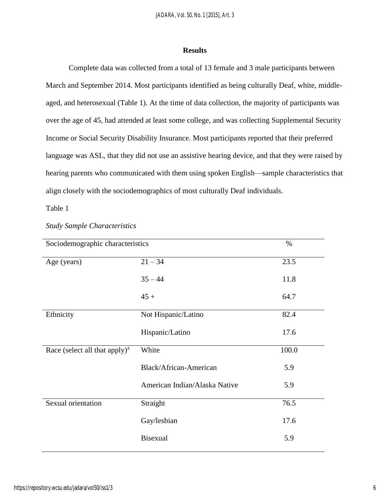## **Results**

Complete data was collected from a total of 13 female and 3 male participants between March and September 2014. Most participants identified as being culturally Deaf, white, middleaged, and heterosexual (Table 1). At the time of data collection, the majority of participants was over the age of 45, had attended at least some college, and was collecting Supplemental Security Income or Social Security Disability Insurance. Most participants reported that their preferred language was ASL, that they did not use an assistive hearing device, and that they were raised by hearing parents who communicated with them using spoken English—sample characteristics that align closely with the sociodemographics of most culturally Deaf individuals.

Table 1

| Sociodemographic characteristics |                               | $\%$  |
|----------------------------------|-------------------------------|-------|
| Age (years)                      | $21 - 34$                     | 23.5  |
|                                  | $35 - 44$                     | 11.8  |
|                                  | $45 +$                        | 64.7  |
| Ethnicity                        | Not Hispanic/Latino           | 82.4  |
|                                  | Hispanic/Latino               | 17.6  |
| Race (select all that apply) $a$ | White                         | 100.0 |
|                                  | Black/African-American        | 5.9   |
|                                  | American Indian/Alaska Native | 5.9   |
| Sexual orientation               | Straight                      | 76.5  |
|                                  | Gay/lesbian                   | 17.6  |
|                                  | <b>Bisexual</b>               | 5.9   |

*Study Sample Characteristics*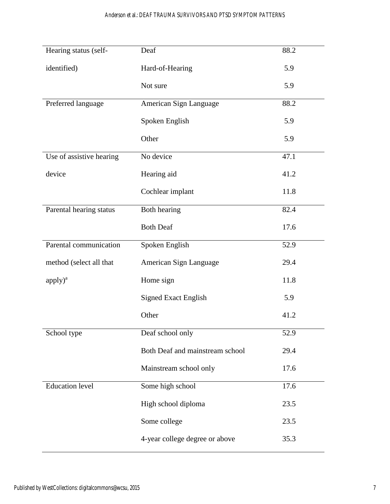# Anderson et al.: DEAF TRAUMA SURVIVORS AND PTSD SYMPTOM PATTERNS

| Hearing status (self-    | Deaf                            | 88.2 |
|--------------------------|---------------------------------|------|
| identified)              | Hard-of-Hearing                 | 5.9  |
|                          | Not sure                        | 5.9  |
| Preferred language       | American Sign Language          | 88.2 |
|                          | Spoken English                  | 5.9  |
|                          | Other                           | 5.9  |
| Use of assistive hearing | No device                       | 47.1 |
| device                   | Hearing aid                     | 41.2 |
|                          | Cochlear implant                | 11.8 |
| Parental hearing status  | Both hearing                    | 82.4 |
|                          | <b>Both Deaf</b>                | 17.6 |
| Parental communication   | Spoken English                  | 52.9 |
| method (select all that  | American Sign Language          | 29.4 |
| $apply)^a$               | Home sign                       | 11.8 |
|                          | <b>Signed Exact English</b>     | 5.9  |
|                          | Other                           | 41.2 |
| School type              | Deaf school only                | 52.9 |
|                          | Both Deaf and mainstream school | 29.4 |
|                          | Mainstream school only          | 17.6 |
| <b>Education level</b>   | Some high school                | 17.6 |
|                          | High school diploma             | 23.5 |
|                          | Some college                    | 23.5 |
|                          | 4-year college degree or above  | 35.3 |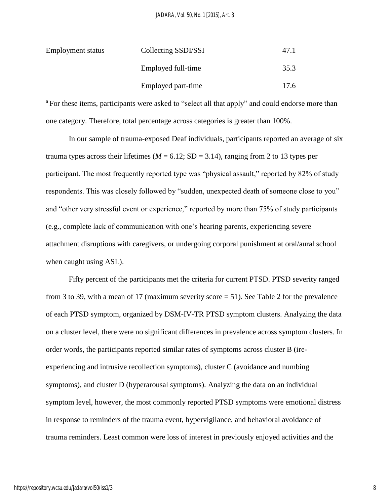| <b>Employment status</b> | Collecting SSDI/SSI | 47.1 |
|--------------------------|---------------------|------|
|                          | Employed full-time  | 35.3 |
|                          | Employed part-time  | 17.6 |

<sup>a</sup> For these items, participants were asked to "select all that apply" and could endorse more than one category. Therefore, total percentage across categories is greater than 100%.

In our sample of trauma-exposed Deaf individuals, participants reported an average of six trauma types across their lifetimes ( $M = 6.12$ ; SD = 3.14), ranging from 2 to 13 types per participant. The most frequently reported type was "physical assault," reported by 82% of study respondents. This was closely followed by "sudden, unexpected death of someone close to you" and "other very stressful event or experience," reported by more than 75% of study participants (e.g., complete lack of communication with one's hearing parents, experiencing severe attachment disruptions with caregivers, or undergoing corporal punishment at oral/aural school when caught using ASL).

Fifty percent of the participants met the criteria for current PTSD. PTSD severity ranged from 3 to 39, with a mean of 17 (maximum severity score = 51). See Table 2 for the prevalence of each PTSD symptom, organized by DSM-IV-TR PTSD symptom clusters. Analyzing the data on a cluster level, there were no significant differences in prevalence across symptom clusters. In order words, the participants reported similar rates of symptoms across cluster B (ireexperiencing and intrusive recollection symptoms), cluster C (avoidance and numbing symptoms), and cluster D (hyperarousal symptoms). Analyzing the data on an individual symptom level, however, the most commonly reported PTSD symptoms were emotional distress in response to reminders of the trauma event, hypervigilance, and behavioral avoidance of trauma reminders. Least common were loss of interest in previously enjoyed activities and the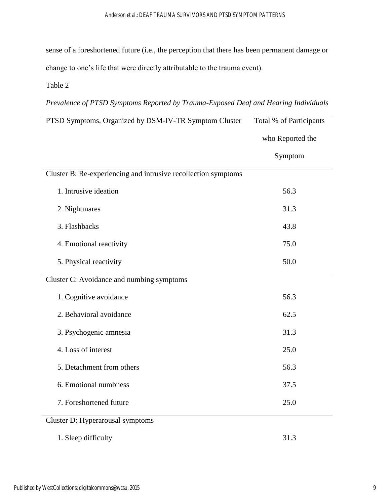sense of a foreshortened future (i.e., the perception that there has been permanent damage or change to one's life that were directly attributable to the trauma event).

# Table 2

# *Prevalence of PTSD Symptoms Reported by Trauma-Exposed Deaf and Hearing Individuals*

| PTSD Symptoms, Organized by DSM-IV-TR Symptom Cluster          | Total % of Participants |
|----------------------------------------------------------------|-------------------------|
|                                                                | who Reported the        |
|                                                                | Symptom                 |
| Cluster B: Re-experiencing and intrusive recollection symptoms |                         |
| 1. Intrusive ideation                                          | 56.3                    |
| 2. Nightmares                                                  | 31.3                    |
| 3. Flashbacks                                                  | 43.8                    |
| 4. Emotional reactivity                                        | 75.0                    |
| 5. Physical reactivity                                         | 50.0                    |
| Cluster C: Avoidance and numbing symptoms                      |                         |
| 1. Cognitive avoidance                                         | 56.3                    |
| 2. Behavioral avoidance                                        | 62.5                    |
| 3. Psychogenic amnesia                                         | 31.3                    |
| 4. Loss of interest                                            | 25.0                    |
| 5. Detachment from others                                      | 56.3                    |
| 6. Emotional numbness                                          | 37.5                    |
| 7. Foreshortened future                                        | 25.0                    |
| Cluster D: Hyperarousal symptoms                               |                         |
| 1. Sleep difficulty                                            | 31.3                    |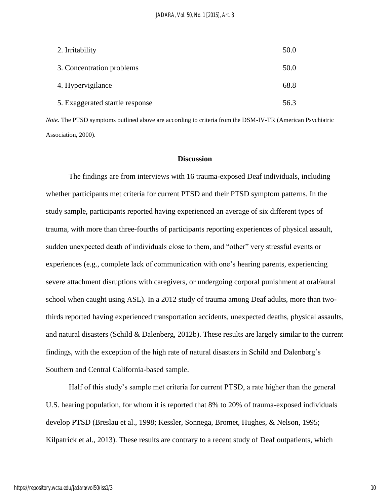| 2. Irritability                 | 50.0 |
|---------------------------------|------|
| 3. Concentration problems       | 50.0 |
| 4. Hypervigilance               | 68.8 |
| 5. Exaggerated startle response | 56.3 |

*Note.* The PTSD symptoms outlined above are according to criteria from the DSM-IV-TR (American Psychiatric Association, 2000).

# **Discussion**

The findings are from interviews with 16 trauma-exposed Deaf individuals, including whether participants met criteria for current PTSD and their PTSD symptom patterns. In the study sample, participants reported having experienced an average of six different types of trauma, with more than three-fourths of participants reporting experiences of physical assault, sudden unexpected death of individuals close to them, and "other" very stressful events or experiences (e.g., complete lack of communication with one's hearing parents, experiencing severe attachment disruptions with caregivers, or undergoing corporal punishment at oral/aural school when caught using ASL). In a 2012 study of trauma among Deaf adults, more than twothirds reported having experienced transportation accidents, unexpected deaths, physical assaults, and natural disasters (Schild & Dalenberg, 2012b). These results are largely similar to the current findings, with the exception of the high rate of natural disasters in Schild and Dalenberg's Southern and Central California-based sample.

Half of this study's sample met criteria for current PTSD, a rate higher than the general U.S. hearing population, for whom it is reported that 8% to 20% of trauma-exposed individuals develop PTSD (Breslau et al., 1998; Kessler, Sonnega, Bromet, Hughes, & Nelson, 1995; Kilpatrick et al., 2013). These results are contrary to a recent study of Deaf outpatients, which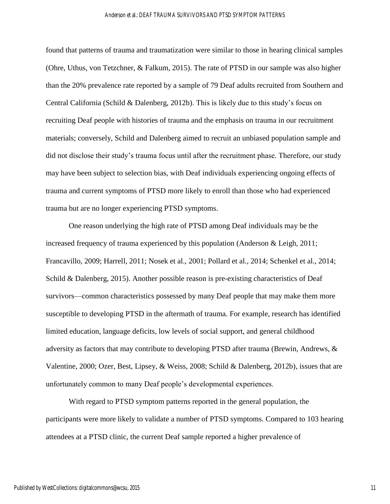#### Anderson et al.: DEAF TRAUMA SURVIVORS AND PTSD SYMPTOM PATTERNS

found that patterns of trauma and traumatization were similar to those in hearing clinical samples (Ohre, Uthus, von Tetzchner, & Falkum, 2015). The rate of PTSD in our sample was also higher than the 20% prevalence rate reported by a sample of 79 Deaf adults recruited from Southern and Central California (Schild & Dalenberg, 2012b). This is likely due to this study's focus on recruiting Deaf people with histories of trauma and the emphasis on trauma in our recruitment materials; conversely, Schild and Dalenberg aimed to recruit an unbiased population sample and did not disclose their study's trauma focus until after the recruitment phase. Therefore, our study may have been subject to selection bias, with Deaf individuals experiencing ongoing effects of trauma and current symptoms of PTSD more likely to enroll than those who had experienced trauma but are no longer experiencing PTSD symptoms.

One reason underlying the high rate of PTSD among Deaf individuals may be the increased frequency of trauma experienced by this population (Anderson & Leigh, 2011; Francavillo, 2009; Harrell, 2011; Nosek et al., 2001; Pollard et al., 2014; Schenkel et al., 2014; Schild & Dalenberg, 2015). Another possible reason is pre-existing characteristics of Deaf survivors—common characteristics possessed by many Deaf people that may make them more susceptible to developing PTSD in the aftermath of trauma. For example, research has identified limited education, language deficits, low levels of social support, and general childhood adversity as factors that may contribute to developing PTSD after trauma (Brewin, Andrews, & Valentine, 2000; Ozer, Best, Lipsey, & Weiss, 2008; Schild & Dalenberg, 2012b), issues that are unfortunately common to many Deaf people's developmental experiences.

With regard to PTSD symptom patterns reported in the general population, the participants were more likely to validate a number of PTSD symptoms. Compared to 103 hearing attendees at a PTSD clinic, the current Deaf sample reported a higher prevalence of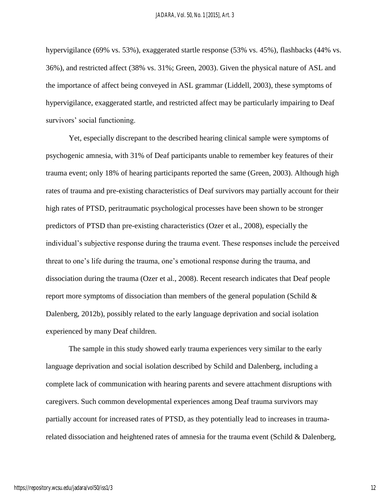hypervigilance (69% vs. 53%), exaggerated startle response (53% vs. 45%), flashbacks (44% vs. 36%), and restricted affect (38% vs. 31%; Green, 2003). Given the physical nature of ASL and the importance of affect being conveyed in ASL grammar (Liddell, 2003), these symptoms of hypervigilance, exaggerated startle, and restricted affect may be particularly impairing to Deaf survivors' social functioning.

Yet, especially discrepant to the described hearing clinical sample were symptoms of psychogenic amnesia, with 31% of Deaf participants unable to remember key features of their trauma event; only 18% of hearing participants reported the same (Green, 2003). Although high rates of trauma and pre-existing characteristics of Deaf survivors may partially account for their high rates of PTSD, peritraumatic psychological processes have been shown to be stronger predictors of PTSD than pre-existing characteristics (Ozer et al., 2008), especially the individual's subjective response during the trauma event. These responses include the perceived threat to one's life during the trauma, one's emotional response during the trauma, and dissociation during the trauma (Ozer et al., 2008). Recent research indicates that Deaf people report more symptoms of dissociation than members of the general population (Schild & Dalenberg, 2012b), possibly related to the early language deprivation and social isolation experienced by many Deaf children.

The sample in this study showed early trauma experiences very similar to the early language deprivation and social isolation described by Schild and Dalenberg, including a complete lack of communication with hearing parents and severe attachment disruptions with caregivers. Such common developmental experiences among Deaf trauma survivors may partially account for increased rates of PTSD, as they potentially lead to increases in traumarelated dissociation and heightened rates of amnesia for the trauma event (Schild & Dalenberg,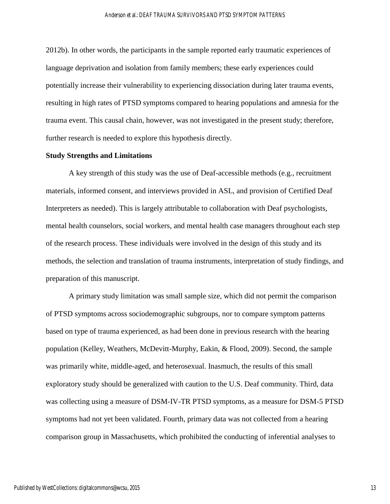2012b). In other words, the participants in the sample reported early traumatic experiences of language deprivation and isolation from family members; these early experiences could potentially increase their vulnerability to experiencing dissociation during later trauma events, resulting in high rates of PTSD symptoms compared to hearing populations and amnesia for the trauma event. This causal chain, however, was not investigated in the present study; therefore, further research is needed to explore this hypothesis directly.

#### **Study Strengths and Limitations**

A key strength of this study was the use of Deaf-accessible methods (e.g., recruitment materials, informed consent, and interviews provided in ASL, and provision of Certified Deaf Interpreters as needed). This is largely attributable to collaboration with Deaf psychologists, mental health counselors, social workers, and mental health case managers throughout each step of the research process. These individuals were involved in the design of this study and its methods, the selection and translation of trauma instruments, interpretation of study findings, and preparation of this manuscript.

A primary study limitation was small sample size, which did not permit the comparison of PTSD symptoms across sociodemographic subgroups, nor to compare symptom patterns based on type of trauma experienced, as had been done in previous research with the hearing population (Kelley, Weathers, McDevitt-Murphy, Eakin, & Flood, 2009). Second, the sample was primarily white, middle-aged, and heterosexual. Inasmuch, the results of this small exploratory study should be generalized with caution to the U.S. Deaf community. Third, data was collecting using a measure of DSM-IV-TR PTSD symptoms, as a measure for DSM-5 PTSD symptoms had not yet been validated. Fourth, primary data was not collected from a hearing comparison group in Massachusetts, which prohibited the conducting of inferential analyses to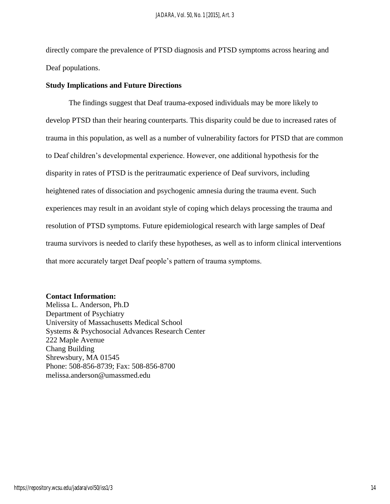directly compare the prevalence of PTSD diagnosis and PTSD symptoms across hearing and Deaf populations.

#### **Study Implications and Future Directions**

The findings suggest that Deaf trauma-exposed individuals may be more likely to develop PTSD than their hearing counterparts. This disparity could be due to increased rates of trauma in this population, as well as a number of vulnerability factors for PTSD that are common to Deaf children's developmental experience. However, one additional hypothesis for the disparity in rates of PTSD is the peritraumatic experience of Deaf survivors, including heightened rates of dissociation and psychogenic amnesia during the trauma event. Such experiences may result in an avoidant style of coping which delays processing the trauma and resolution of PTSD symptoms. Future epidemiological research with large samples of Deaf trauma survivors is needed to clarify these hypotheses, as well as to inform clinical interventions that more accurately target Deaf people's pattern of trauma symptoms.

#### **Contact Information:**

Melissa L. Anderson, Ph.D Department of Psychiatry University of Massachusetts Medical School Systems & Psychosocial Advances Research Center 222 Maple Avenue Chang Building Shrewsbury, MA 01545 Phone: 508-856-8739; Fax: 508-856-8700 melissa.anderson@umassmed.edu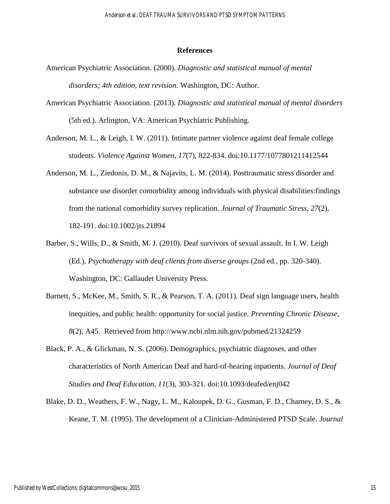#### **References**

- American Psychiatric Association. (2000). *Diagnostic and statistical manual of mental disorders; 4th edition, text revision.* Washington, DC: Author.
- American Psychiatric Association. (2013). *Diagnostic and statistical manual of mental disorders* (5th ed.). Arlington, VA: American Psychiatric Publishing.
- Anderson, M. L., & Leigh, I. W. (2011). Intimate partner violence against deaf female college students. *Violence Against Women, 17*(7), 822-834. doi:10.1177/1077801211412544
- Anderson, M. L., Ziedonis, D. M., & Najavits, L. M. (2014). Posttraumatic stress disorder and substance use disorder comorbidity among individuals with physical disabilities:findings from the national comorbidity survey replication. *Journal of Traumatic Stress, 27*(2), 182-191. doi:10.1002/jts.21894
- Barber, S., Wills, D., & Smith, M. J. (2010). Deaf survivors of sexual assault. In I. W. Leigh (Ed.), *Psychotherapy with deaf clients from diverse groups* (2nd ed., pp. 320-340). Washington, DC: Gallaudet University Press.
- Barnett, S., McKee, M., Smith, S. R., & Pearson, T. A. (2011). Deaf sign language users, health inequities, and public health: opportunity for social justice. *Preventing Chronic Disease, 8*(2), A45. Retrieved from http://www.ncbi.nlm.nih.gov/pubmed/21324259
- Black, P. A., & Glickman, N. S. (2006). Demographics, psychiatric diagnoses, and other characteristics of North American Deaf and hard-of-hearing inpatients. *Journal of Deaf Studies and Deaf Education, 11*(3), 303-321. doi:10.1093/deafed/enj042
- Blake, D. D., Weathers, F. W., Nagy, L. M., Kaloupek, D. G., Gusman, F. D., Charney, D. S., & Keane, T. M. (1995). The development of a Clinician-Administered PTSD Scale. *Journal*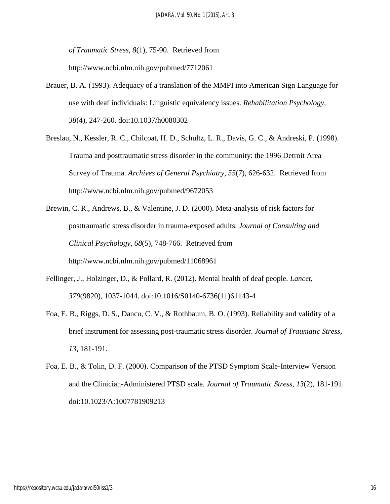*of Traumatic Stress, 8*(1), 75-90. Retrieved from http://www.ncbi.nlm.nih.gov/pubmed/7712061

Brauer, B. A. (1993). Adequacy of a translation of the MMPI into American Sign Language for use with deaf individuals: Linguistic equivalency issues. *Rehabilitation Psychology,* 

*38*(4), 247-260. doi:10.1037/h0080302

- Breslau, N., Kessler, R. C., Chilcoat, H. D., Schultz, L. R., Davis, G. C., & Andreski, P. (1998). Trauma and posttraumatic stress disorder in the community: the 1996 Detroit Area Survey of Trauma. *Archives of General Psychiatry, 55*(7), 626-632. Retrieved from http://www.ncbi.nlm.nih.gov/pubmed/9672053
- Brewin, C. R., Andrews, B., & Valentine, J. D. (2000). Meta-analysis of risk factors for posttraumatic stress disorder in trauma-exposed adults. *Journal of Consulting and Clinical Psychology, 68*(5), 748-766. Retrieved from http://www.ncbi.nlm.nih.gov/pubmed/11068961
- Fellinger, J., Holzinger, D., & Pollard, R. (2012). Mental health of deaf people. *Lancet, 379*(9820), 1037-1044. doi:10.1016/S0140-6736(11)61143-4
- Foa, E. B., Riggs, D. S., Dancu, C. V., & Rothbaum, B. O. (1993). Reliability and validity of a brief instrument for assessing post-traumatic stress disorder. *Journal of Traumatic Stress, 13*, 181-191.
- Foa, E. B., & Tolin, D. F. (2000). Comparison of the PTSD Symptom Scale-Interview Version and the Clinician-Administered PTSD scale. *Journal of Traumatic Stress, 13*(2), 181-191. doi:10.1023/A:1007781909213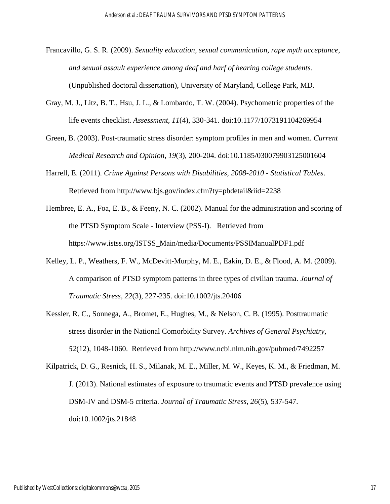- Francavillo, G. S. R. (2009). *Sexuality education, sexual communication, rape myth acceptance, and sexual assault experience among deaf and harf of hearing college students.* (Unpublished doctoral dissertation), University of Maryland, College Park, MD.
- Gray, M. J., Litz, B. T., Hsu, J. L., & Lombardo, T. W. (2004). Psychometric properties of the life events checklist. *Assessment, 11*(4), 330-341. doi:10.1177/1073191104269954
- Green, B. (2003). Post-traumatic stress disorder: symptom profiles in men and women. *Current Medical Research and Opinion, 19*(3), 200-204. doi:10.1185/030079903125001604
- Harrell, E. (2011). *Crime Against Persons with Disabilities, 2008-2010 - Statistical Tables*. Retrieved from http://www.bjs.gov/index.cfm?ty=pbdetail&iid=2238
- Hembree, E. A., Foa, E. B., & Feeny, N. C. (2002). Manual for the administration and scoring of the PTSD Symptom Scale - Interview (PSS-I). Retrieved from https://www.istss.org/ISTSS\_Main/media/Documents/PSSIManualPDF1.pdf
- Kelley, L. P., Weathers, F. W., McDevitt-Murphy, M. E., Eakin, D. E., & Flood, A. M. (2009). A comparison of PTSD symptom patterns in three types of civilian trauma. *Journal of Traumatic Stress, 22*(3), 227-235. doi:10.1002/jts.20406
- Kessler, R. C., Sonnega, A., Bromet, E., Hughes, M., & Nelson, C. B. (1995). Posttraumatic stress disorder in the National Comorbidity Survey. *Archives of General Psychiatry, 52*(12), 1048-1060. Retrieved from http://www.ncbi.nlm.nih.gov/pubmed/7492257
- Kilpatrick, D. G., Resnick, H. S., Milanak, M. E., Miller, M. W., Keyes, K. M., & Friedman, M. J. (2013). National estimates of exposure to traumatic events and PTSD prevalence using DSM-IV and DSM-5 criteria. *Journal of Traumatic Stress, 26*(5), 537-547. doi:10.1002/jts.21848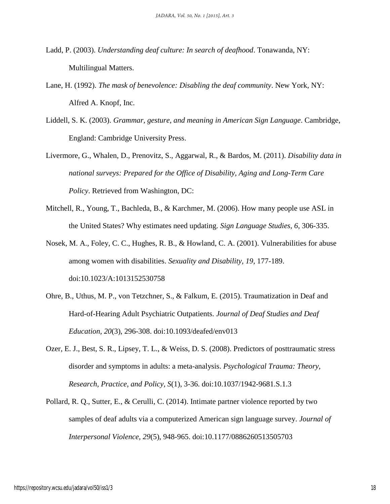- Ladd, P. (2003). *Understanding deaf culture: In search of deafhood*. Tonawanda, NY: Multilingual Matters.
- Lane, H. (1992). *The mask of benevolence: Disabling the deaf community*. New York, NY: Alfred A. Knopf, Inc.
- Liddell, S. K. (2003). *Grammar, gesture, and meaning in American Sign Language*. Cambridge, England: Cambridge University Press.
- Livermore, G., Whalen, D., Prenovitz, S., Aggarwal, R., & Bardos, M. (2011). *Disability data in national surveys: Prepared for the Office of Disability, Aging and Long-Term Care Policy*. Retrieved from Washington, DC:
- Mitchell, R., Young, T., Bachleda, B., & Karchmer, M. (2006). How many people use ASL in the United States? Why estimates need updating. *Sign Language Studies, 6*, 306-335.
- Nosek, M. A., Foley, C. C., Hughes, R. B., & Howland, C. A. (2001). Vulnerabilities for abuse among women with disabilities. *Sexuality and Disability, 19*, 177-189. doi:10.1023/A:1013152530758
- Ohre, B., Uthus, M. P., von Tetzchner, S., & Falkum, E. (2015). Traumatization in Deaf and Hard-of-Hearing Adult Psychiatric Outpatients. *Journal of Deaf Studies and Deaf Education, 20*(3), 296-308. doi:10.1093/deafed/env013
- Ozer, E. J., Best, S. R., Lipsey, T. L., & Weiss, D. S. (2008). Predictors of posttraumatic stress disorder and symptoms in adults: a meta-analysis. *Psychological Trauma: Theory, Research, Practice, and Policy, S*(1), 3-36. doi:10.1037/1942-9681.S.1.3
- Pollard, R. Q., Sutter, E., & Cerulli, C. (2014). Intimate partner violence reported by two samples of deaf adults via a computerized American sign language survey. *Journal of Interpersonal Violence, 29*(5), 948-965. doi:10.1177/0886260513505703